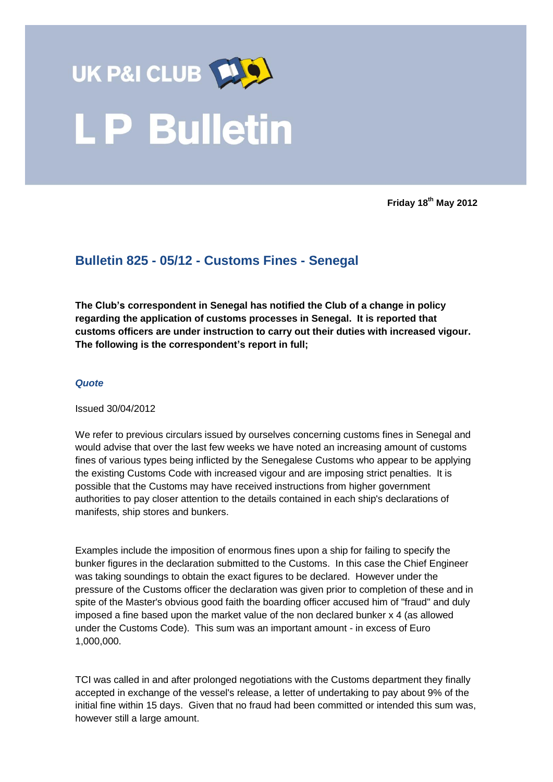

**Friday 18th May 2012**

## **Bulletin 825 - 05/12 - Customs Fines - Senegal**

**The Club's correspondent in Senegal has notified the Club of a change in policy regarding the application of customs processes in Senegal. It is reported that customs officers are under instruction to carry out their duties with increased vigour. The following is the correspondent's report in full;**

## *Quote*

Issued 30/04/2012

We refer to previous circulars issued by ourselves concerning customs fines in Senegal and would advise that over the last few weeks we have noted an increasing amount of customs fines of various types being inflicted by the Senegalese Customs who appear to be applying the existing Customs Code with increased vigour and are imposing strict penalties. It is possible that the Customs may have received instructions from higher government authorities to pay closer attention to the details contained in each ship's declarations of manifests, ship stores and bunkers.

Examples include the imposition of enormous fines upon a ship for failing to specify the bunker figures in the declaration submitted to the Customs. In this case the Chief Engineer was taking soundings to obtain the exact figures to be declared. However under the pressure of the Customs officer the declaration was given prior to completion of these and in spite of the Master's obvious good faith the boarding officer accused him of "fraud" and duly imposed a fine based upon the market value of the non declared bunker x 4 (as allowed under the Customs Code). This sum was an important amount - in excess of Euro 1,000,000.

TCI was called in and after prolonged negotiations with the Customs department they finally accepted in exchange of the vessel's release, a letter of undertaking to pay about 9% of the initial fine within 15 days. Given that no fraud had been committed or intended this sum was, however still a large amount.